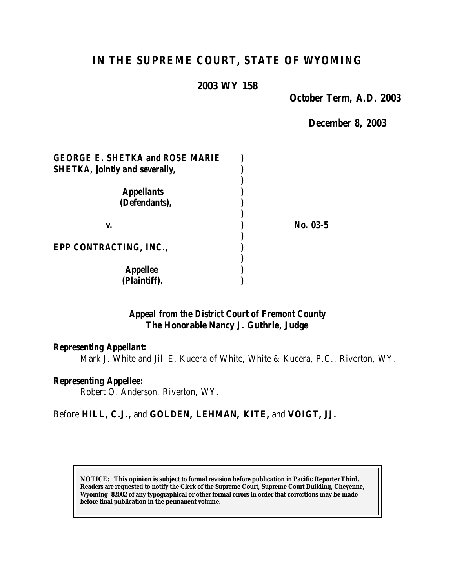# *IN THE SUPREME COURT, STATE OF WYOMING*

#### **2003 WY 158**

*October Term, A.D. 2003*

*December 8, 2003*

| <b>GEORGE E. SHETKA and ROSE MARIE</b> |          |
|----------------------------------------|----------|
| <b>SHETKA, jointly and severally,</b>  |          |
|                                        |          |
| <b>Appellants</b>                      |          |
| (Defendants),                          |          |
|                                        |          |
| V.                                     | No. 03-5 |
|                                        |          |
| <b>EPP CONTRACTING, INC.,</b>          |          |
|                                        |          |
| <b>Appellee</b>                        |          |
| (Plaintiff).                           |          |

#### *Appeal from the District Court of Fremont County* **The Honorable Nancy J. Guthrie, Judge**

#### *Representing Appellant:*

Mark J. White and Jill E. Kucera of White, White & Kucera, P.C., Riverton, WY.

### *Representing Appellee:*

Robert O. Anderson, Riverton, WY.

#### Before **HILL, C.J.,** and **GOLDEN, LEHMAN, KITE,** and **VOIGT, JJ.**

**NOTICE:** *This opinion is subject to formal revision before publication in Pacific Reporter Third. Readers are requested to notify the Clerk of the Supreme Court, Supreme Court Building, Cheyenne, Wyoming 82002 of any typographical or other formal errors in order that corrections may be made before final publication in the permanent volume.*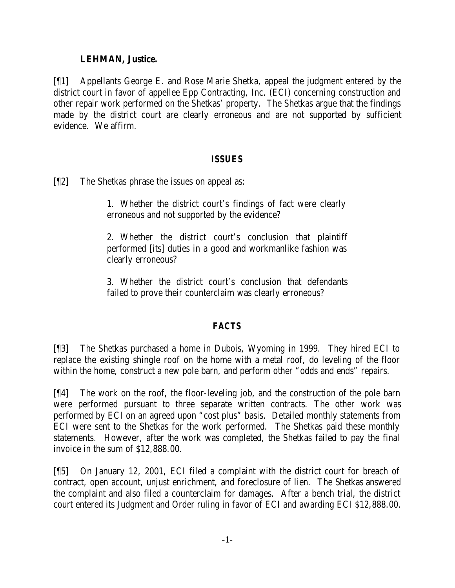### **LEHMAN, Justice.**

[¶1] Appellants George E. and Rose Marie Shetka, appeal the judgment entered by the district court in favor of appellee Epp Contracting, Inc. (ECI) concerning construction and other repair work performed on the Shetkas' property. The Shetkas argue that the findings made by the district court are clearly erroneous and are not supported by sufficient evidence. We affirm.

### *ISSUES*

[¶2] The Shetkas phrase the issues on appeal as:

1. Whether the district court's findings of fact were clearly erroneous and not supported by the evidence?

2. Whether the district court's conclusion that plaintiff performed [its] duties in a good and workmanlike fashion was clearly erroneous?

3. Whether the district court's conclusion that defendants failed to prove their counterclaim was clearly erroneous?

## *FACTS*

[¶3] The Shetkas purchased a home in Dubois, Wyoming in 1999. They hired ECI to replace the existing shingle roof on the home with a metal roof, do leveling of the floor within the home, construct a new pole barn, and perform other "odds and ends" repairs.

[¶4] The work on the roof, the floor-leveling job, and the construction of the pole barn were performed pursuant to three separate written contracts. The other work was performed by ECI on an agreed upon "cost plus" basis. Detailed monthly statements from ECI were sent to the Shetkas for the work performed. The Shetkas paid these monthly statements. However, after the work was completed, the Shetkas failed to pay the final invoice in the sum of \$12,888.00.

[¶5] On January 12, 2001, ECI filed a complaint with the district court for breach of contract, open account, unjust enrichment, and foreclosure of lien. The Shetkas answered the complaint and also filed a counterclaim for damages. After a bench trial, the district court entered its Judgment and Order ruling in favor of ECI and awarding ECI \$12,888.00.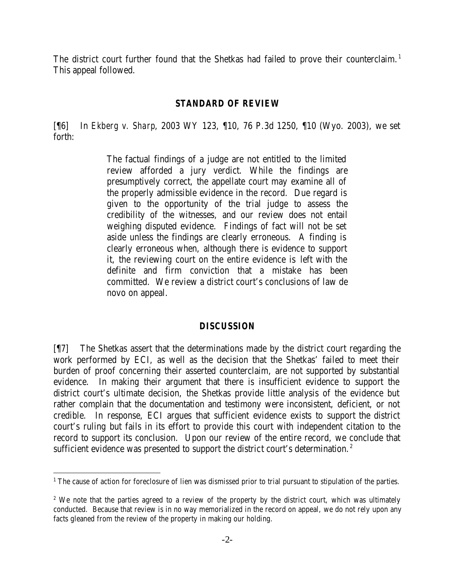The district court further found that the Shetkas had failed to prove their counterclaim.<sup>1</sup> This appeal followed.

#### *STANDARD OF REVIEW*

[¶6] In *Ekberg v. Sharp*, 2003 WY 123, ¶10, 76 P.3d 1250, ¶10 (Wyo. 2003), we set forth:

> The factual findings of a judge are not entitled to the limited review afforded a jury verdict. While the findings are presumptively correct, the appellate court may examine all of the properly admissible evidence in the record. Due regard is given to the opportunity of the trial judge to assess the credibility of the witnesses, and our review does not entail weighing disputed evidence. Findings of fact will not be set aside unless the findings are clearly erroneous. A finding is clearly erroneous when, although there is evidence to support it, the reviewing court on the entire evidence is left with the definite and firm conviction that a mistake has been committed. We review a district court's conclusions of law de novo on appeal.

#### *DISCUSSION*

[¶7] The Shetkas assert that the determinations made by the district court regarding the work performed by ECI, as well as the decision that the Shetkas' failed to meet their burden of proof concerning their asserted counterclaim, are not supported by substantial evidence. In making their argument that there is insufficient evidence to support the district court's ultimate decision, the Shetkas provide little analysis of the evidence but rather complain that the documentation and testimony were inconsistent, deficient, or not credible. In response, ECI argues that sufficient evidence exists to support the district court's ruling but fails in its effort to provide this court with independent citation to the record to support its conclusion. Upon our review of the entire record, we conclude that sufficient evidence was presented to support the district court's determination.<sup>2</sup>

l

<sup>&</sup>lt;sup>1</sup> The cause of action for foreclosure of lien was dismissed prior to trial pursuant to stipulation of the parties.

<sup>&</sup>lt;sup>2</sup> We note that the parties agreed to a review of the property by the district court, which was ultimately conducted. Because that review is in no way memorialized in the record on appeal, we do not rely upon any facts gleaned from the review of the property in making our holding.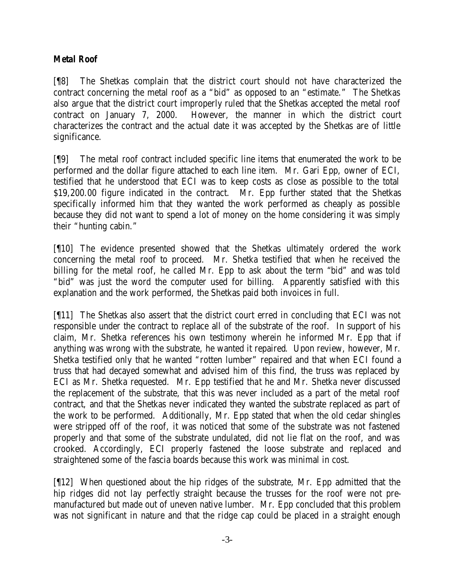# *Metal Roof*

[¶8] The Shetkas complain that the district court should not have characterized the contract concerning the metal roof as a "bid" as opposed to an "estimate." The Shetkas also argue that the district court improperly ruled that the Shetkas accepted the metal roof contract on January 7, 2000. However, the manner in which the district court characterizes the contract and the actual date it was accepted by the Shetkas are of little significance.

[¶9] The metal roof contract included specific line items that enumerated the work to be performed and the dollar figure attached to each line item. Mr. Gari Epp, owner of ECI, testified that he understood that ECI was to keep costs as close as possible to the total \$19,200.00 figure indicated in the contract. Mr. Epp further stated that the Shetkas specifically informed him that they wanted the work performed as cheaply as possible because they did not want to spend a lot of money on the home considering it was simply their "hunting cabin."

[¶10] The evidence presented showed that the Shetkas ultimately ordered the work concerning the metal roof to proceed. Mr. Shetka testified that when he received the billing for the metal roof, he called Mr. Epp to ask about the term "bid" and was told "bid" was just the word the computer used for billing. Apparently satisfied with this explanation and the work performed, the Shetkas paid both invoices in full.

[¶11] The Shetkas also assert that the district court erred in concluding that ECI was not responsible under the contract to replace all of the substrate of the roof. In support of his claim, Mr. Shetka references his own testimony wherein he informed Mr. Epp that if anything was wrong with the substrate, he wanted it repaired. Upon review, however, Mr. Shetka testified only that he wanted "rotten lumber" repaired and that when ECI found a truss that had decayed somewhat and advised him of this find, the truss was replaced by ECI as Mr. Shetka requested. Mr. Epp testified that he and Mr. Shetka never discussed the replacement of the substrate, that this was never included as a part of the metal roof contract, and that the Shetkas never indicated they wanted the substrate replaced as part of the work to be performed. Additionally, Mr. Epp stated that when the old cedar shingles were stripped off of the roof, it was noticed that some of the substrate was not fastened properly and that some of the substrate undulated, did not lie flat on the roof, and was crooked. Accordingly, ECI properly fastened the loose substrate and replaced and straightened some of the fascia boards because this work was minimal in cost.

[¶12] When questioned about the hip ridges of the substrate, Mr. Epp admitted that the hip ridges did not lay perfectly straight because the trusses for the roof were not premanufactured but made out of uneven native lumber. Mr. Epp concluded that this problem was not significant in nature and that the ridge cap could be placed in a straight enough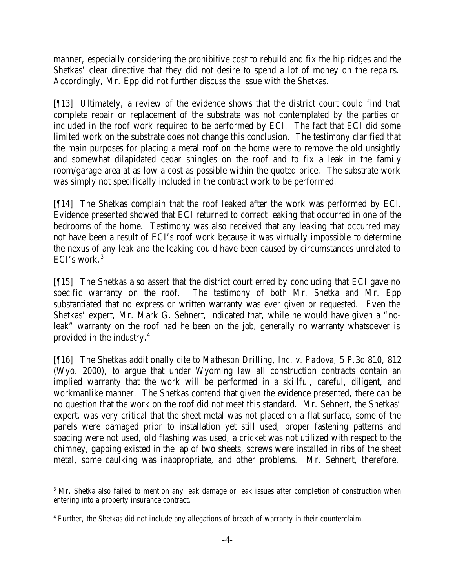manner, especially considering the prohibitive cost to rebuild and fix the hip ridges and the Shetkas' clear directive that they did not desire to spend a lot of money on the repairs. Accordingly, Mr. Epp did not further discuss the issue with the Shetkas.

[¶13] Ultimately, a review of the evidence shows that the district court could find that complete repair or replacement of the substrate was not contemplated by the parties or included in the roof work required to be performed by ECI. The fact that ECI did some limited work on the substrate does not change this conclusion. The testimony clarified that the main purposes for placing a metal roof on the home were to remove the old unsightly and somewhat dilapidated cedar shingles on the roof and to fix a leak in the family room/garage area at as low a cost as possible within the quoted price. The substrate work was simply not specifically included in the contract work to be performed.

[¶14] The Shetkas complain that the roof leaked after the work was performed by ECI. Evidence presented showed that ECI returned to correct leaking that occurred in one of the bedrooms of the home. Testimony was also received that any leaking that occurred may not have been a result of ECI's roof work because it was virtually impossible to determine the nexus of any leak and the leaking could have been caused by circumstances unrelated to ECI's work.<sup>3</sup>

[¶15] The Shetkas also assert that the district court erred by concluding that ECI gave no specific warranty on the roof. The testimony of both Mr. Shetka and Mr. Epp substantiated that no express or written warranty was ever given or requested. Even the Shetkas' expert, Mr. Mark G. Sehnert, indicated that, while he would have given a "noleak" warranty on the roof had he been on the job, generally no warranty whatsoever is provided in the industry.<sup>4</sup>

[¶16] The Shetkas additionally cite to *Matheson Drilling, Inc. v. Padova*, 5 P.3d 810, 812 (Wyo. 2000), to argue that under Wyoming law all construction contracts contain an implied warranty that the work will be performed in a skillful, careful, diligent, and workmanlike manner. The Shetkas contend that given the evidence presented, there can be no question that the work on the roof did not meet this standard. Mr. Sehnert, the Shetkas' expert, was very critical that the sheet metal was not placed on a flat surface, some of the panels were damaged prior to installation yet still used, proper fastening patterns and spacing were not used, old flashing was used, a cricket was not utilized with respect to the chimney, gapping existed in the lap of two sheets, screws were installed in ribs of the sheet metal, some caulking was inappropriate, and other problems. Mr. Sehnert, therefore,

l

<sup>&</sup>lt;sup>3</sup> Mr. Shetka also failed to mention any leak damage or leak issues after completion of construction when entering into a property insurance contract.

<sup>&</sup>lt;sup>4</sup> Further, the Shetkas did not include any allegations of breach of warranty in their counterclaim.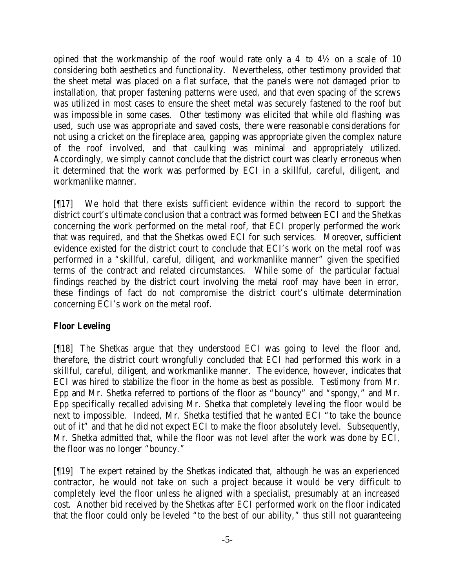opined that the workmanship of the roof would rate only a 4 to 4½ on a scale of 10 considering both aesthetics and functionality. Nevertheless, other testimony provided that the sheet metal was placed on a flat surface, that the panels were not damaged prior to installation, that proper fastening patterns were used, and that even spacing of the screws was utilized in most cases to ensure the sheet metal was securely fastened to the roof but was impossible in some cases. Other testimony was elicited that while old flashing was used, such use was appropriate and saved costs, there were reasonable considerations for not using a cricket on the fireplace area, gapping was appropriate given the complex nature of the roof involved, and that caulking was minimal and appropriately utilized. Accordingly, we simply cannot conclude that the district court was clearly erroneous when it determined that the work was performed by ECI in a skillful, careful, diligent, and workmanlike manner.

[¶17] We hold that there exists sufficient evidence within the record to support the district court's ultimate conclusion that a contract was formed between ECI and the Shetkas concerning the work performed on the metal roof, that ECI properly performed the work that was required, and that the Shetkas owed ECI for such services. Moreover, sufficient evidence existed for the district court to conclude that ECI's work on the metal roof was performed in a "skillful, careful, diligent, and workmanlike manner" given the specified terms of the contract and related circumstances. While some of the particular factual findings reached by the district court involving the metal roof may have been in error, these findings of fact do not compromise the district court's ultimate determination concerning ECI's work on the metal roof.

## *Floor Leveling*

[¶18] The Shetkas argue that they understood ECI was going to level the floor and, therefore, the district court wrongfully concluded that ECI had performed this work in a skillful, careful, diligent, and workmanlike manner. The evidence, however, indicates that ECI was hired to stabilize the floor in the home as best as possible. Testimony from Mr. Epp and Mr. Shetka referred to portions of the floor as "bouncy" and "spongy," and Mr. Epp specifically recalled advising Mr. Shetka that completely leveling the floor would be next to impossible. Indeed, Mr. Shetka testified that he wanted ECI "to take the bounce out of it" and that he did not expect ECI to make the floor absolutely level. Subsequently, Mr. Shetka admitted that, while the floor was not level after the work was done by ECI, the floor was no longer "bouncy."

[¶19] The expert retained by the Shetkas indicated that, although he was an experienced contractor, he would not take on such a project because it would be very difficult to completely level the floor unless he aligned with a specialist, presumably at an increased cost. Another bid received by the Shetkas after ECI performed work on the floor indicated that the floor could only be leveled "to the best of our ability," thus still not guaranteeing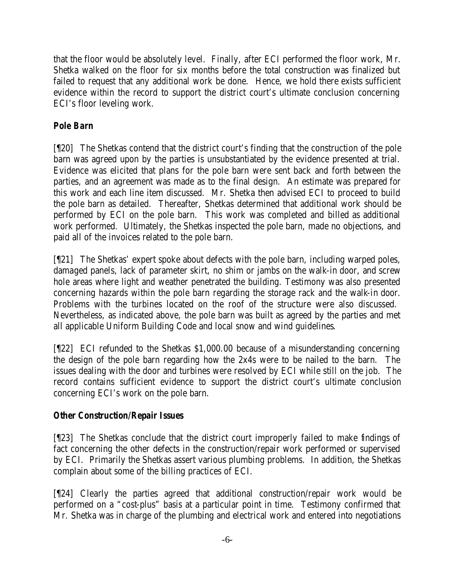that the floor would be absolutely level. Finally, after ECI performed the floor work, Mr. Shetka walked on the floor for six months before the total construction was finalized but failed to request that any additional work be done. Hence, we hold there exists sufficient evidence within the record to support the district court's ultimate conclusion concerning ECI's floor leveling work.

# *Pole Barn*

[¶20] The Shetkas contend that the district court's finding that the construction of the pole barn was agreed upon by the parties is unsubstantiated by the evidence presented at trial. Evidence was elicited that plans for the pole barn were sent back and forth between the parties, and an agreement was made as to the final design. An estimate was prepared for this work and each line item discussed. Mr. Shetka then advised ECI to proceed to build the pole barn as detailed. Thereafter, Shetkas determined that additional work should be performed by ECI on the pole barn. This work was completed and billed as additional work performed. Ultimately, the Shetkas inspected the pole barn, made no objections, and paid all of the invoices related to the pole barn.

[¶21] The Shetkas' expert spoke about defects with the pole barn, including warped poles, damaged panels, lack of parameter skirt, no shim or jambs on the walk-in door, and screw hole areas where light and weather penetrated the building. Testimony was also presented concerning hazards within the pole barn regarding the storage rack and the walk-in door. Problems with the turbines located on the roof of the structure were also discussed. Nevertheless, as indicated above, the pole barn was built as agreed by the parties and met all applicable Uniform Building Code and local snow and wind guidelines.

[¶22] ECI refunded to the Shetkas \$1,000.00 because of a misunderstanding concerning the design of the pole barn regarding how the 2x4s were to be nailed to the barn. The issues dealing with the door and turbines were resolved by ECI while still on the job. The record contains sufficient evidence to support the district court's ultimate conclusion concerning ECI's work on the pole barn.

## *Other Construction/Repair Issues*

[¶23] The Shetkas conclude that the district court improperly failed to make findings of fact concerning the other defects in the construction/repair work performed or supervised by ECI. Primarily the Shetkas assert various plumbing problems. In addition, the Shetkas complain about some of the billing practices of ECI.

[¶24] Clearly the parties agreed that additional construction/repair work would be performed on a "cost-plus" basis at a particular point in time. Testimony confirmed that Mr. Shetka was in charge of the plumbing and electrical work and entered into negotiations